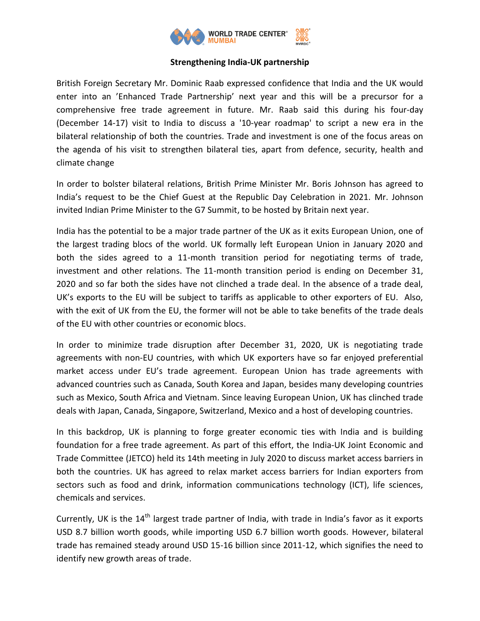

## **Strengthening India-UK partnership**

British Foreign Secretary Mr. Dominic Raab expressed confidence that India and the UK would enter into an 'Enhanced Trade Partnership' next year and this will be a precursor for a comprehensive free trade agreement in future. Mr. Raab said this during his four-day (December 14-17) visit to India to discuss a '10-year roadmap' to script a new era in the bilateral relationship of both the countries. Trade and investment is one of the focus areas on the agenda of his visit to strengthen bilateral ties, apart from defence, security, health and climate change

In order to bolster bilateral relations, British Prime Minister Mr. Boris Johnson has agreed to India's request to be the Chief Guest at the Republic Day Celebration in 2021. Mr. Johnson invited Indian Prime Minister to the G7 Summit, to be hosted by Britain next year.

India has the potential to be a major trade partner of the UK as it exits European Union, one of the largest trading blocs of the world. UK formally left European Union in January 2020 and both the sides agreed to a 11-month transition period for negotiating terms of trade, investment and other relations. The 11-month transition period is ending on December 31, 2020 and so far both the sides have not clinched a trade deal. In the absence of a trade deal, UK's exports to the EU will be subject to tariffs as applicable to other exporters of EU. Also, with the exit of UK from the EU, the former will not be able to take benefits of the trade deals of the EU with other countries or economic blocs.

In order to minimize trade disruption after December 31, 2020, UK is negotiating trade agreements with non-EU countries, with which UK exporters have so far enjoyed preferential market access under EU's trade agreement. European Union has trade agreements with advanced countries such as Canada, South Korea and Japan, besides many developing countries such as Mexico, South Africa and Vietnam. Since leaving European Union, UK has clinched trade deals with Japan, Canada, Singapore, Switzerland, Mexico and a host of developing countries.

In this backdrop, UK is planning to forge greater economic ties with India and is building foundation for a free trade agreement. As part of this effort, the India-UK Joint Economic and Trade Committee (JETCO) held its 14th meeting in July 2020 to discuss market access barriers in both the countries. UK has agreed to relax market access barriers for Indian exporters from sectors such as food and drink, information communications technology (ICT), life sciences, chemicals and services.

Currently, UK is the 14<sup>th</sup> largest trade partner of India, with trade in India's favor as it exports USD 8.7 billion worth goods, while importing USD 6.7 billion worth goods. However, bilateral trade has remained steady around USD 15-16 billion since 2011-12, which signifies the need to identify new growth areas of trade.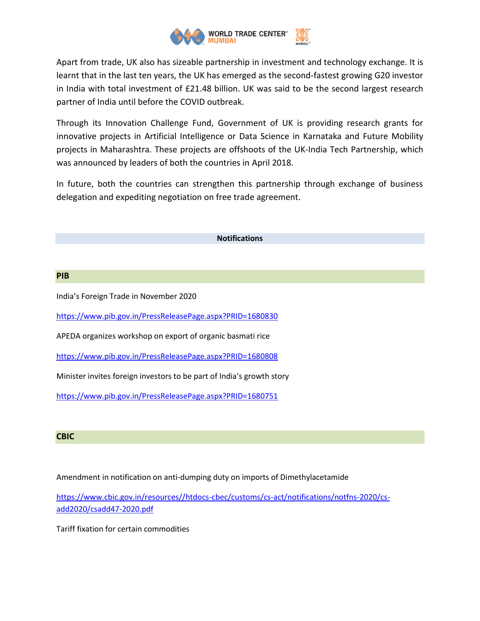

Apart from trade, UK also has sizeable partnership in investment and technology exchange. It is learnt that in the last ten years, the UK has emerged as the second-fastest growing G20 investor in India with total investment of £21.48 billion. UK was said to be the second largest research partner of India until before the COVID outbreak.

Through its Innovation Challenge Fund, Government of UK is providing research grants for innovative projects in Artificial Intelligence or Data Science in Karnataka and Future Mobility projects in Maharashtra. These projects are offshoots of the UK-India Tech Partnership, which was announced by leaders of both the countries in April 2018.

In future, both the countries can strengthen this partnership through exchange of business delegation and expediting negotiation on free trade agreement.

## **Notifications**

## **PIB**

India's Foreign Trade in November 2020

<https://www.pib.gov.in/PressReleasePage.aspx?PRID=1680830>

APEDA organizes workshop on export of organic basmati rice

<https://www.pib.gov.in/PressReleasePage.aspx?PRID=1680808>

Minister invites foreign investors to be part of India's growth story

<https://www.pib.gov.in/PressReleasePage.aspx?PRID=1680751>

## **CBIC**

Amendment in notification on anti-dumping duty on imports of Dimethylacetamide

[https://www.cbic.gov.in/resources//htdocs-cbec/customs/cs-act/notifications/notfns-2020/cs](https://www.cbic.gov.in/resources/htdocs-cbec/customs/cs-act/notifications/notfns-2020/cs-add2020/csadd47-2020.pdf)[add2020/csadd47-2020.pdf](https://www.cbic.gov.in/resources/htdocs-cbec/customs/cs-act/notifications/notfns-2020/cs-add2020/csadd47-2020.pdf)

Tariff fixation for certain commodities